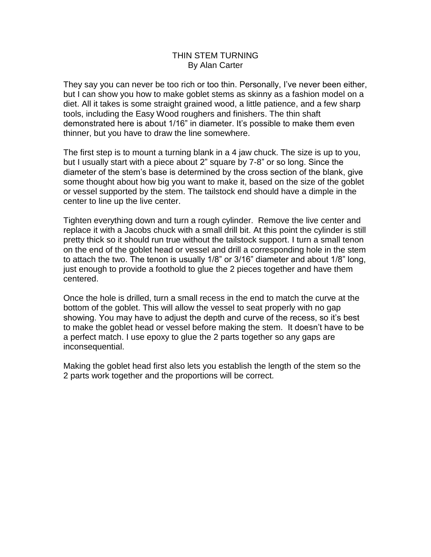## THIN STEM TURNING By Alan Carter

They say you can never be too rich or too thin. Personally, I've never been either, but I can show you how to make goblet stems as skinny as a fashion model on a diet. All it takes is some straight grained wood, a little patience, and a few sharp tools, including the Easy Wood roughers and finishers. The thin shaft demonstrated here is about 1/16" in diameter. It's possible to make them even thinner, but you have to draw the line somewhere.

The first step is to mount a turning blank in a 4 jaw chuck. The size is up to you, but I usually start with a piece about 2" square by 7-8" or so long. Since the diameter of the stem's base is determined by the cross section of the blank, give some thought about how big you want to make it, based on the size of the goblet or vessel supported by the stem. The tailstock end should have a dimple in the center to line up the live center.

Tighten everything down and turn a rough cylinder. Remove the live center and replace it with a Jacobs chuck with a small drill bit. At this point the cylinder is still pretty thick so it should run true without the tailstock support. I turn a small tenon on the end of the goblet head or vessel and drill a corresponding hole in the stem to attach the two. The tenon is usually 1/8" or 3/16" diameter and about 1/8" long, just enough to provide a foothold to glue the 2 pieces together and have them centered.

Once the hole is drilled, turn a small recess in the end to match the curve at the bottom of the goblet. This will allow the vessel to seat properly with no gap showing. You may have to adjust the depth and curve of the recess, so it's best to make the goblet head or vessel before making the stem. It doesn't have to be a perfect match. I use epoxy to glue the 2 parts together so any gaps are inconsequential.

Making the goblet head first also lets you establish the length of the stem so the 2 parts work together and the proportions will be correct.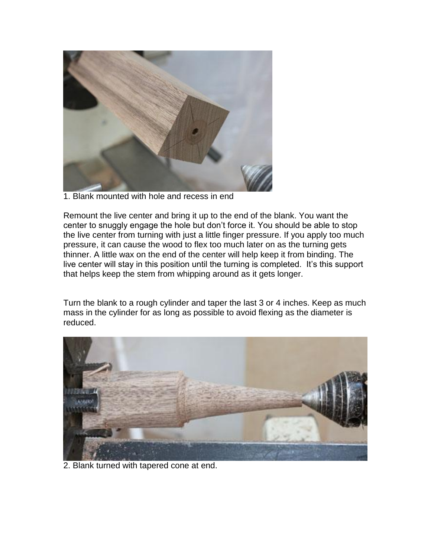

1. Blank mounted with hole and recess in end

Remount the live center and bring it up to the end of the blank. You want the center to snuggly engage the hole but don't force it. You should be able to stop the live center from turning with just a little finger pressure. If you apply too much pressure, it can cause the wood to flex too much later on as the turning gets thinner. A little wax on the end of the center will help keep it from binding. The live center will stay in this position until the turning is completed. It's this support that helps keep the stem from whipping around as it gets longer.

Turn the blank to a rough cylinder and taper the last 3 or 4 inches. Keep as much mass in the cylinder for as long as possible to avoid flexing as the diameter is reduced.



2. Blank turned with tapered cone at end.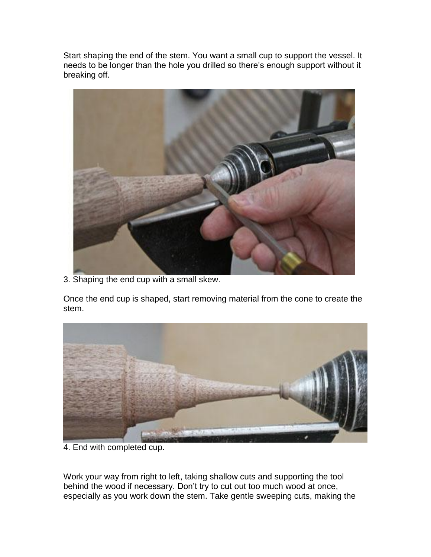Start shaping the end of the stem. You want a small cup to support the vessel. It needs to be longer than the hole you drilled so there's enough support without it breaking off.



3. Shaping the end cup with a small skew.

Once the end cup is shaped, start removing material from the cone to create the stem.



4. End with completed cup.

Work your way from right to left, taking shallow cuts and supporting the tool behind the wood if necessary. Don't try to cut out too much wood at once, especially as you work down the stem. Take gentle sweeping cuts, making the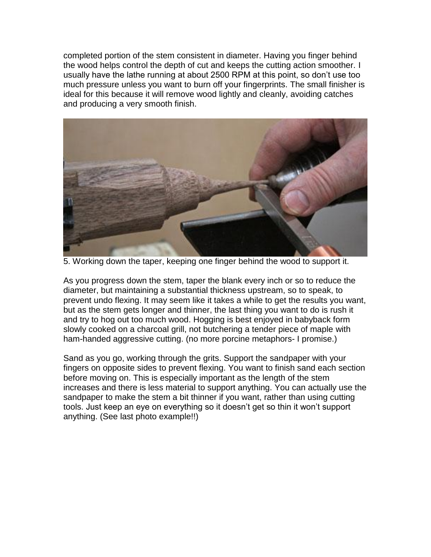completed portion of the stem consistent in diameter. Having you finger behind the wood helps control the depth of cut and keeps the cutting action smoother. I usually have the lathe running at about 2500 RPM at this point, so don't use too much pressure unless you want to burn off your fingerprints. The small finisher is ideal for this because it will remove wood lightly and cleanly, avoiding catches and producing a very smooth finish.



5. Working down the taper, keeping one finger behind the wood to support it.

As you progress down the stem, taper the blank every inch or so to reduce the diameter, but maintaining a substantial thickness upstream, so to speak, to prevent undo flexing. It may seem like it takes a while to get the results you want, but as the stem gets longer and thinner, the last thing you want to do is rush it and try to hog out too much wood. Hogging is best enjoyed in babyback form slowly cooked on a charcoal grill, not butchering a tender piece of maple with ham-handed aggressive cutting. (no more porcine metaphors- I promise.)

Sand as you go, working through the grits. Support the sandpaper with your fingers on opposite sides to prevent flexing. You want to finish sand each section before moving on. This is especially important as the length of the stem increases and there is less material to support anything. You can actually use the sandpaper to make the stem a bit thinner if you want, rather than using cutting tools. Just keep an eye on everything so it doesn't get so thin it won't support anything. (See last photo example!!)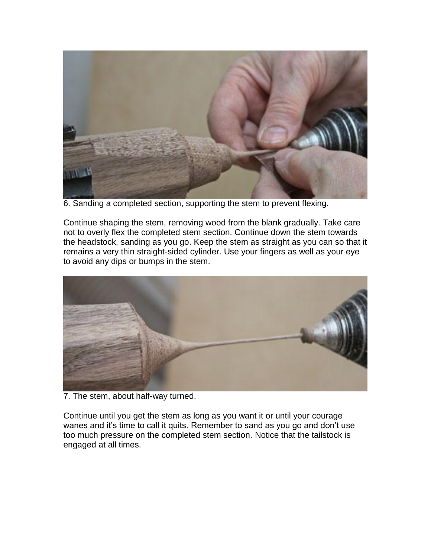

6. Sanding a completed section, supporting the stem to prevent flexing.

Continue shaping the stem, removing wood from the blank gradually. Take care not to overly flex the completed stem section. Continue down the stem towards the headstock, sanding as you go. Keep the stem as straight as you can so that it remains a very thin straight-sided cylinder. Use your fingers as well as your eye to avoid any dips or bumps in the stem.



7. The stem, about half-way turned.

Continue until you get the stem as long as you want it or until your courage wanes and it's time to call it quits. Remember to sand as you go and don't use too much pressure on the completed stem section. Notice that the tailstock is engaged at all times.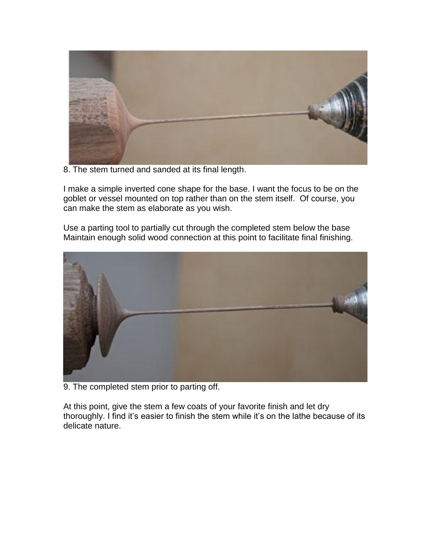

8. The stem turned and sanded at its final length.

I make a simple inverted cone shape for the base. I want the focus to be on the goblet or vessel mounted on top rather than on the stem itself. Of course, you can make the stem as elaborate as you wish.

Use a parting tool to partially cut through the completed stem below the base Maintain enough solid wood connection at this point to facilitate final finishing.



9. The completed stem prior to parting off.

At this point, give the stem a few coats of your favorite finish and let dry thoroughly. I find it's easier to finish the stem while it's on the lathe because of its delicate nature.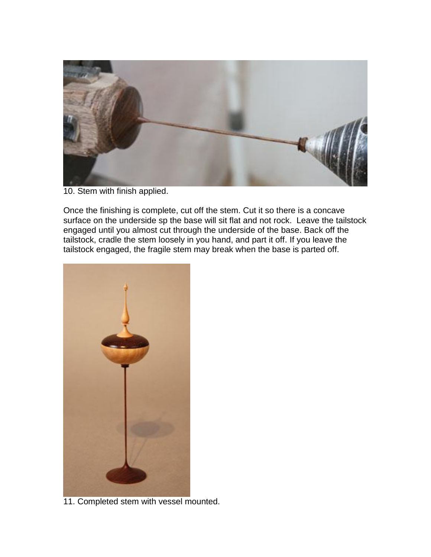

10. Stem with finish applied.

Once the finishing is complete, cut off the stem. Cut it so there is a concave surface on the underside sp the base will sit flat and not rock. Leave the tailstock engaged until you almost cut through the underside of the base. Back off the tailstock, cradle the stem loosely in you hand, and part it off. If you leave the tailstock engaged, the fragile stem may break when the base is parted off.



11. Completed stem with vessel mounted.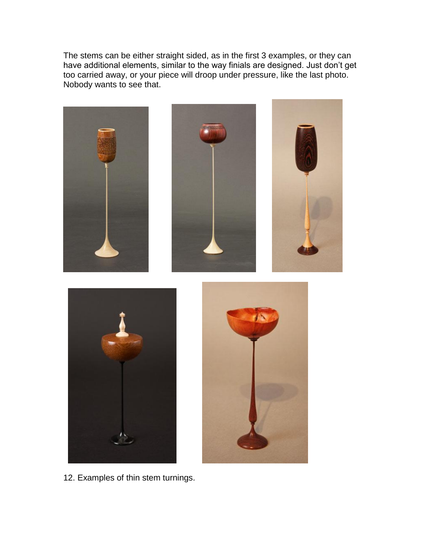The stems can be either straight sided, as in the first 3 examples, or they can have additional elements, similar to the way finials are designed. Just don't get too carried away, or your piece will droop under pressure, like the last photo. Nobody wants to see that.



12. Examples of thin stem turnings.